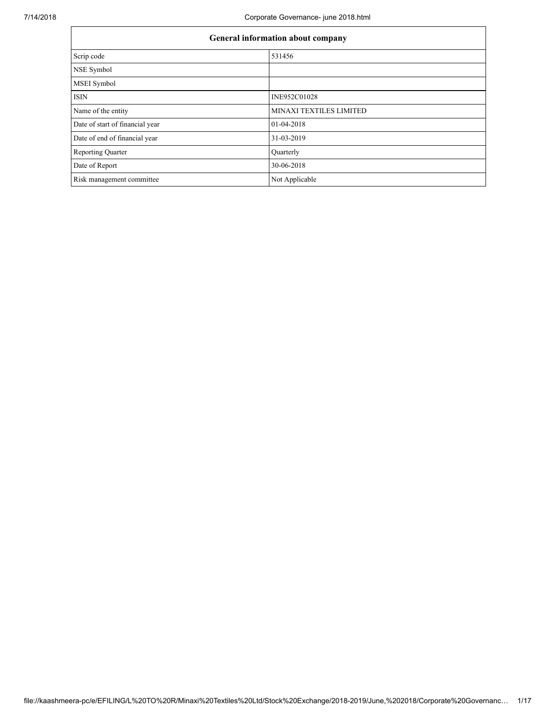| General information about company |                                |  |  |  |  |
|-----------------------------------|--------------------------------|--|--|--|--|
| Scrip code                        | 531456                         |  |  |  |  |
| <b>NSE Symbol</b>                 |                                |  |  |  |  |
| <b>MSEI</b> Symbol                |                                |  |  |  |  |
| <b>ISIN</b>                       | INE952C01028                   |  |  |  |  |
| Name of the entity                | <b>MINAXI TEXTILES LIMITED</b> |  |  |  |  |
| Date of start of financial year   | 01-04-2018                     |  |  |  |  |
| Date of end of financial year     | 31-03-2019                     |  |  |  |  |
| <b>Reporting Quarter</b>          | Quarterly                      |  |  |  |  |
| Date of Report                    | 30-06-2018                     |  |  |  |  |
| Risk management committee         | Not Applicable                 |  |  |  |  |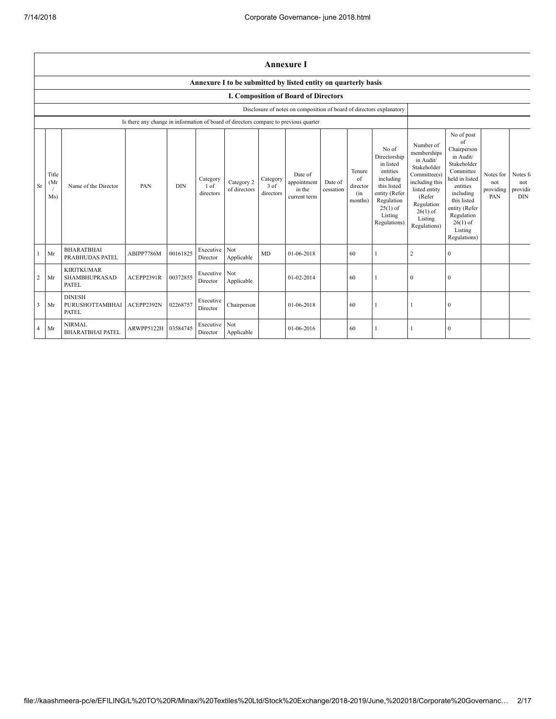|           | <b>Annexure I</b>                                                    |                                                           |                                                                                      |            |                                 |                            |                                 |                                                  |                      |                                            |                                                                                                                                                    |                                                                                                                                                                          |                                                                                                                                                                                                            |                                      |                                           |
|-----------|----------------------------------------------------------------------|-----------------------------------------------------------|--------------------------------------------------------------------------------------|------------|---------------------------------|----------------------------|---------------------------------|--------------------------------------------------|----------------------|--------------------------------------------|----------------------------------------------------------------------------------------------------------------------------------------------------|--------------------------------------------------------------------------------------------------------------------------------------------------------------------------|------------------------------------------------------------------------------------------------------------------------------------------------------------------------------------------------------------|--------------------------------------|-------------------------------------------|
|           | Annexure I to be submitted by listed entity on quarterly basis       |                                                           |                                                                                      |            |                                 |                            |                                 |                                                  |                      |                                            |                                                                                                                                                    |                                                                                                                                                                          |                                                                                                                                                                                                            |                                      |                                           |
|           | <b>I. Composition of Board of Directors</b>                          |                                                           |                                                                                      |            |                                 |                            |                                 |                                                  |                      |                                            |                                                                                                                                                    |                                                                                                                                                                          |                                                                                                                                                                                                            |                                      |                                           |
|           | Disclosure of notes on composition of board of directors explanatory |                                                           |                                                                                      |            |                                 |                            |                                 |                                                  |                      |                                            |                                                                                                                                                    |                                                                                                                                                                          |                                                                                                                                                                                                            |                                      |                                           |
|           |                                                                      |                                                           | Is there any change in information of board of directors compare to previous quarter |            |                                 |                            |                                 |                                                  |                      |                                            |                                                                                                                                                    |                                                                                                                                                                          |                                                                                                                                                                                                            |                                      |                                           |
| <b>Sr</b> | Title<br>(Mr<br>Ms)                                                  | Name of the Director                                      | PAN                                                                                  | <b>DIN</b> | Category<br>$1$ of<br>directors | Category 2<br>of directors | Category<br>$3$ of<br>directors | Date of<br>appointment<br>in the<br>current term | Date of<br>cessation | Tenure<br>of<br>director<br>(in<br>months) | No of<br>Directorship<br>in listed<br>entities<br>including<br>this listed<br>entity (Refer<br>Regulation<br>$25(1)$ of<br>Listing<br>Regulations) | Number of<br>memberships<br>in Audit/<br>Stakeholder<br>Committee(s)<br>including this<br>listed entity<br>(Refer<br>Regulation<br>$26(1)$ of<br>Listing<br>Regulations) | No of post<br>of<br>Chairperson<br>in Audit/<br>Stakeholder<br>Committee<br>held in listed<br>entities<br>including<br>this listed<br>entity (Refer<br>Regulation<br>$26(1)$ of<br>Listing<br>Regulations) | Notes for<br>not<br>providing<br>PAN | Notes fo<br>not<br>providir<br><b>DIN</b> |
| 1         | Mr                                                                   | <b>BHARATBHAI</b><br>PRABHUDAS PATEL                      | ABIPP7786M                                                                           | 00161825   | Executive<br>Director           | Not<br>Applicable          | <b>MD</b>                       | 01-06-2018                                       |                      | 60                                         |                                                                                                                                                    | $\overline{2}$                                                                                                                                                           | $\theta$                                                                                                                                                                                                   |                                      |                                           |
| 2         | Mr                                                                   | <b>KIRITKUMAR</b><br><b>SHAMBHUPRASAD</b><br><b>PATEL</b> | ACEPP2391R                                                                           | 00372855   | Executive<br>Director           | Not<br>Applicable          |                                 | 01-02-2014                                       |                      | 60                                         |                                                                                                                                                    | $\mathbf{0}$                                                                                                                                                             | $\mathbf{0}$                                                                                                                                                                                               |                                      |                                           |
| 3         | Mr                                                                   | <b>DINESH</b><br>PURUSHOTTAMBHAI<br>PATEL                 | ACEPP2392N                                                                           | 02268757   | Executive<br>Director           | Chairperson                |                                 | 01-06-2018                                       |                      | 60                                         |                                                                                                                                                    |                                                                                                                                                                          | $\mathbf{0}$                                                                                                                                                                                               |                                      |                                           |
| 4         | Mr                                                                   | <b>NIRMAL</b><br><b>BHARATBHAI PATEL</b>                  | ARWPP5122H                                                                           | 03584745   | Executive<br>Director           | Not<br>Applicable          |                                 | 01-06-2016                                       |                      | 60                                         |                                                                                                                                                    |                                                                                                                                                                          | $\mathbf{0}$                                                                                                                                                                                               |                                      |                                           |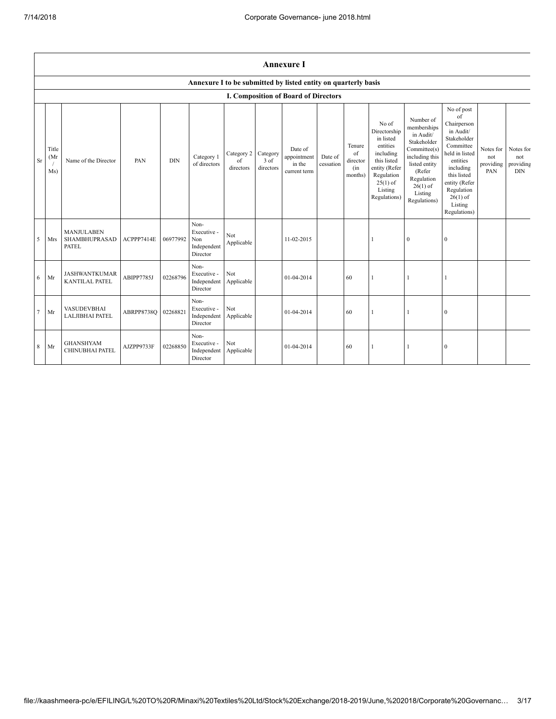|           | <b>Annexure I</b>                                              |                                                    |            |            |                                                       |                                       |                               |                                                  |                      |                                            |                                                                                                                                                    |                                                                                                                                                                          |                                                                                                                                                                                                            |                                      |                                             |
|-----------|----------------------------------------------------------------|----------------------------------------------------|------------|------------|-------------------------------------------------------|---------------------------------------|-------------------------------|--------------------------------------------------|----------------------|--------------------------------------------|----------------------------------------------------------------------------------------------------------------------------------------------------|--------------------------------------------------------------------------------------------------------------------------------------------------------------------------|------------------------------------------------------------------------------------------------------------------------------------------------------------------------------------------------------------|--------------------------------------|---------------------------------------------|
|           | Annexure I to be submitted by listed entity on quarterly basis |                                                    |            |            |                                                       |                                       |                               |                                                  |                      |                                            |                                                                                                                                                    |                                                                                                                                                                          |                                                                                                                                                                                                            |                                      |                                             |
|           |                                                                | I. Composition of Board of Directors               |            |            |                                                       |                                       |                               |                                                  |                      |                                            |                                                                                                                                                    |                                                                                                                                                                          |                                                                                                                                                                                                            |                                      |                                             |
| <b>Sr</b> | Title<br>(Mr)<br>Ms)                                           | Name of the Director                               | PAN        | <b>DIN</b> | Category 1<br>of directors                            | Category 2<br>$\sigma$ f<br>directors | Category<br>3 of<br>directors | Date of<br>appointment<br>in the<br>current term | Date of<br>cessation | Tenure<br>of<br>director<br>(in<br>months) | No of<br>Directorship<br>in listed<br>entities<br>including<br>this listed<br>entity (Refer<br>Regulation<br>$25(1)$ of<br>Listing<br>Regulations) | Number of<br>memberships<br>in Audit/<br>Stakeholder<br>Committee(s)<br>including this<br>listed entity<br>(Refer<br>Regulation<br>$26(1)$ of<br>Listing<br>Regulations) | No of post<br>of<br>Chairperson<br>in Audit/<br>Stakeholder<br>Committee<br>held in listed<br>entities<br>including<br>this listed<br>entity (Refer<br>Regulation<br>$26(1)$ of<br>Listing<br>Regulations) | Notes for<br>not<br>providing<br>PAN | Notes for<br>not<br>providing<br><b>DIN</b> |
| 5         | Mrs                                                            | <b>MANJULABEN</b><br>SHAMBHUPRASAD<br><b>PATEL</b> | ACPPP7414E | 06977992   | Non-<br>Executive -<br>Non<br>Independent<br>Director | Not<br>Applicable                     |                               | 11-02-2015                                       |                      |                                            |                                                                                                                                                    | $\boldsymbol{0}$                                                                                                                                                         | $\boldsymbol{0}$                                                                                                                                                                                           |                                      |                                             |
| 6         | Mr                                                             | <b>JASHWANTKUMAR</b><br>KANTILAL PATEL             | ABIPP7785J | 02268796   | Non-<br>Executive -<br>Independent<br>Director        | Not<br>Applicable                     |                               | 01-04-2014                                       |                      | 60                                         | 1                                                                                                                                                  | $\mathbf{1}$                                                                                                                                                             | $\mathbf{1}$                                                                                                                                                                                               |                                      |                                             |
| $\tau$    | Mr                                                             | <b>VASUDEVBHAI</b><br><b>LALJIBHAI PATEL</b>       | ABRPP8738Q | 02268821   | Non-<br>Executive -<br>Independent<br>Director        | Not<br>Applicable                     |                               | 01-04-2014                                       |                      | 60                                         | $\mathbf{1}$                                                                                                                                       |                                                                                                                                                                          | $\boldsymbol{0}$                                                                                                                                                                                           |                                      |                                             |
| 8         | Mr                                                             | <b>GHANSHYAM</b><br><b>CHINUBHAI PATEL</b>         | AJZPP9733F | 02268850   | Non-<br>Executive -<br>Independent<br>Director        | Not<br>Applicable                     |                               | 01-04-2014                                       |                      | 60                                         | 1                                                                                                                                                  | -1                                                                                                                                                                       | $\boldsymbol{0}$                                                                                                                                                                                           |                                      |                                             |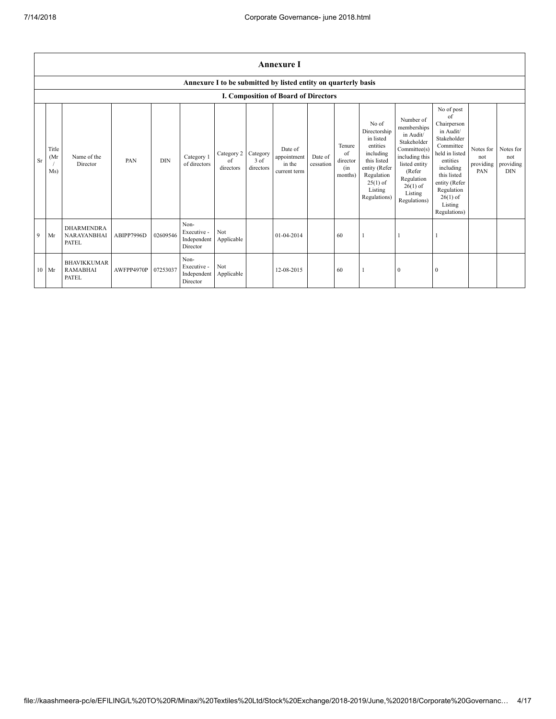|           | <b>Annexure I</b>                                              |                                                         |                     |            |                                                |                               |                               |                                                  |                      |                                            |                                                                                                                                                    |                                                                                                                                                                          |                                                                                                                                                                                                            |                                      |                                             |
|-----------|----------------------------------------------------------------|---------------------------------------------------------|---------------------|------------|------------------------------------------------|-------------------------------|-------------------------------|--------------------------------------------------|----------------------|--------------------------------------------|----------------------------------------------------------------------------------------------------------------------------------------------------|--------------------------------------------------------------------------------------------------------------------------------------------------------------------------|------------------------------------------------------------------------------------------------------------------------------------------------------------------------------------------------------------|--------------------------------------|---------------------------------------------|
|           | Annexure I to be submitted by listed entity on quarterly basis |                                                         |                     |            |                                                |                               |                               |                                                  |                      |                                            |                                                                                                                                                    |                                                                                                                                                                          |                                                                                                                                                                                                            |                                      |                                             |
|           |                                                                |                                                         |                     |            |                                                |                               |                               | <b>I. Composition of Board of Directors</b>      |                      |                                            |                                                                                                                                                    |                                                                                                                                                                          |                                                                                                                                                                                                            |                                      |                                             |
| <b>Sr</b> | Title<br>(Mr<br>Ms)                                            | Name of the<br>Director                                 | PAN                 | <b>DIN</b> | Category 1<br>of directors                     | Category 2<br>of<br>directors | Category<br>3 of<br>directors | Date of<br>appointment<br>in the<br>current term | Date of<br>cessation | Tenure<br>of<br>director<br>(in<br>months) | No of<br>Directorship<br>in listed<br>entities<br>including<br>this listed<br>entity (Refer<br>Regulation<br>$25(1)$ of<br>Listing<br>Regulations) | Number of<br>memberships<br>in Audit/<br>Stakeholder<br>Committee(s)<br>including this<br>listed entity<br>(Refer<br>Regulation<br>$26(1)$ of<br>Listing<br>Regulations) | No of post<br>of<br>Chairperson<br>in Audit/<br>Stakeholder<br>Committee<br>held in listed<br>entities<br>including<br>this listed<br>entity (Refer<br>Regulation<br>$26(1)$ of<br>Listing<br>Regulations) | Notes for<br>not<br>providing<br>PAN | Notes for<br>not<br>providing<br><b>DIN</b> |
| 9         | Mr                                                             | <b>DHARMENDRA</b><br><b>NARAYANBHAI</b><br><b>PATEL</b> | ABIPP7996D          | 02609546   | Non-<br>Executive -<br>Independent<br>Director | Not<br>Applicable             |                               | 01-04-2014                                       |                      | 60                                         |                                                                                                                                                    |                                                                                                                                                                          |                                                                                                                                                                                                            |                                      |                                             |
|           | $10$ Mr                                                        | <b>BHAVIKKUMAR</b><br><b>RAMABHAI</b><br><b>PATEL</b>   | AWFPP4970P 07253037 |            | Non-<br>Executive -<br>Independent<br>Director | Not<br>Applicable             |                               | 12-08-2015                                       |                      | 60                                         |                                                                                                                                                    | $\boldsymbol{0}$                                                                                                                                                         | $\theta$                                                                                                                                                                                                   |                                      |                                             |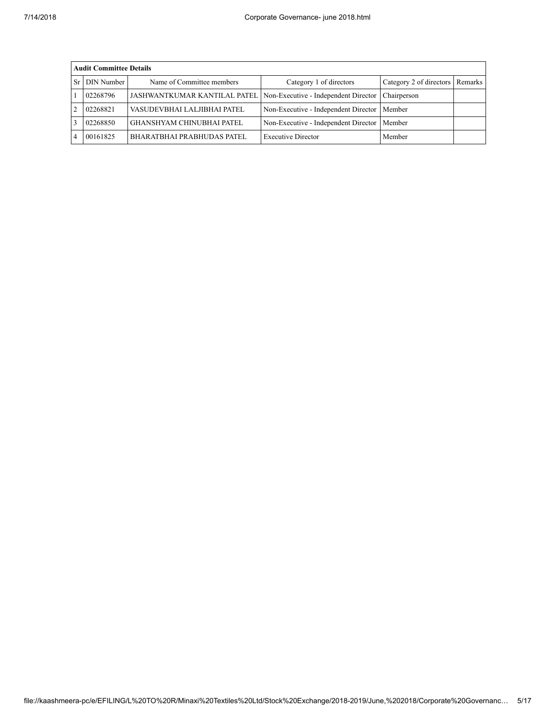| <b>Audit Committee Details</b> |                                                                   |                                      |                                 |  |  |  |  |  |  |
|--------------------------------|-------------------------------------------------------------------|--------------------------------------|---------------------------------|--|--|--|--|--|--|
| <b>DIN Number</b>              | Name of Committee members                                         | Category 1 of directors              | Category 2 of directors Remarks |  |  |  |  |  |  |
| 02268796                       | JASHWANTKUMAR KANTILAL PATEL Non-Executive - Independent Director |                                      | Chairperson                     |  |  |  |  |  |  |
| 02268821                       | VASUDEVBHAI LALJIBHAI PATEL                                       | Non-Executive - Independent Director | Member                          |  |  |  |  |  |  |
| 02268850                       | <b>GHANSHYAM CHINUBHAI PATEL</b>                                  | Non-Executive - Independent Director | Member                          |  |  |  |  |  |  |
| 00161825                       | <b>BHARATBHAI PRABHUDAS PATEL</b>                                 | <b>Executive Director</b>            | Member                          |  |  |  |  |  |  |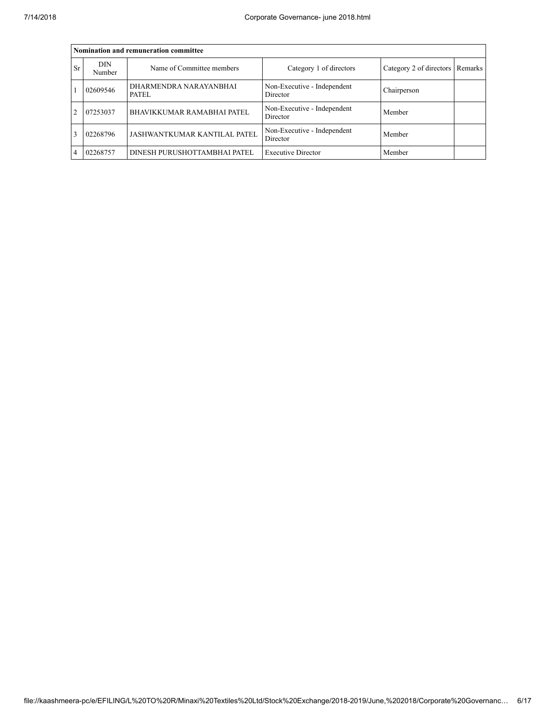|                | Nomination and remuneration committee |                                 |                                         |                                   |  |  |  |  |  |  |
|----------------|---------------------------------------|---------------------------------|-----------------------------------------|-----------------------------------|--|--|--|--|--|--|
| <b>Sr</b>      | DIN<br>Number                         | Name of Committee members       | Category 1 of directors                 | Category 2 of directors   Remarks |  |  |  |  |  |  |
|                | 02609546                              | DHARMENDRA NARAYANBHAI<br>PATEL | Non-Executive - Independent<br>Director | Chairperson                       |  |  |  |  |  |  |
| $\mathfrak{D}$ | 07253037                              | BHAVIKKUMAR RAMABHAI PATEL      | Non-Executive - Independent<br>Director | Member                            |  |  |  |  |  |  |
|                | 02268796                              | JASHWANTKUMAR KANTILAL PATEL    | Non-Executive - Independent<br>Director | Member                            |  |  |  |  |  |  |
| 4              | 02268757                              | DINESH PURUSHOTTAMBHAI PATEL    | <b>Executive Director</b>               | Member                            |  |  |  |  |  |  |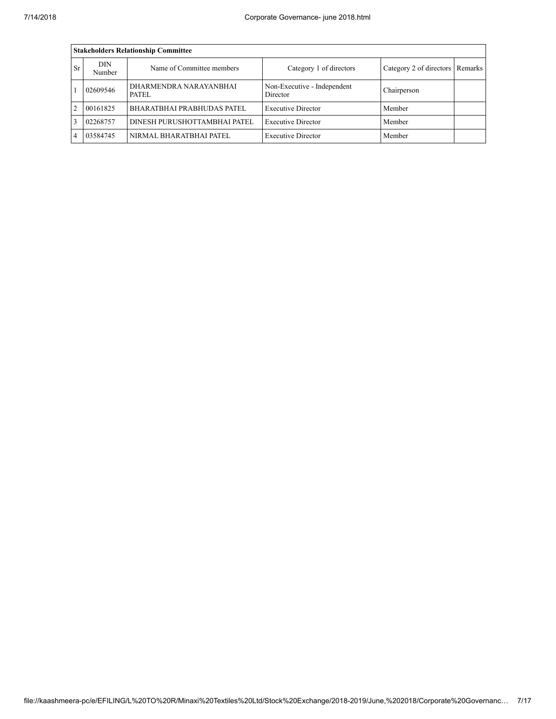|           | <b>Stakeholders Relationship Committee</b> |                                   |                                         |                                 |  |  |  |  |  |  |
|-----------|--------------------------------------------|-----------------------------------|-----------------------------------------|---------------------------------|--|--|--|--|--|--|
| <b>Sr</b> | <b>DIN</b><br>Number                       | Name of Committee members         | Category 1 of directors                 | Category 2 of directors Remarks |  |  |  |  |  |  |
|           | 02609546                                   | DHARMENDRA NARAYANBHAI<br>PATEL.  | Non-Executive - Independent<br>Director | Chairperson                     |  |  |  |  |  |  |
| 2         | 00161825                                   | <b>BHARATBHAI PRABHUDAS PATEL</b> | <b>Executive Director</b>               | Member                          |  |  |  |  |  |  |
|           | 02268757                                   | DINESH PURUSHOTTAMBHAI PATEL      | <b>Executive Director</b>               | Member                          |  |  |  |  |  |  |
|           | 03584745                                   | NIRMAL BHARATBHAI PATEL           | <b>Executive Director</b>               | Member                          |  |  |  |  |  |  |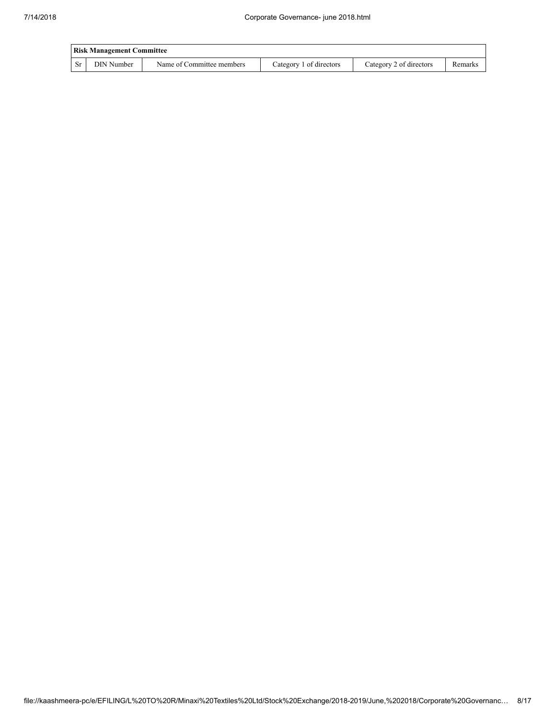|           | <b>Risk Management Committee</b> |                           |                         |                         |         |  |  |  |  |  |
|-----------|----------------------------------|---------------------------|-------------------------|-------------------------|---------|--|--|--|--|--|
| <b>Sr</b> | DIN Number                       | Name of Committee members | Category 1 of directors | Category 2 of directors | Remarks |  |  |  |  |  |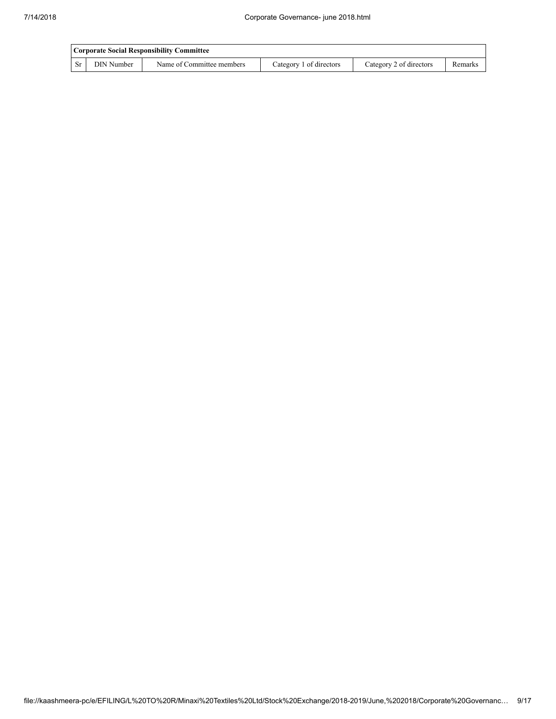|     | Corporate Social Responsibility Committee |                           |                         |                         |         |  |  |  |  |  |  |
|-----|-------------------------------------------|---------------------------|-------------------------|-------------------------|---------|--|--|--|--|--|--|
| -Sr | DIN Number                                | Name of Committee members | Category 1 of directors | Category 2 of directors | Remarks |  |  |  |  |  |  |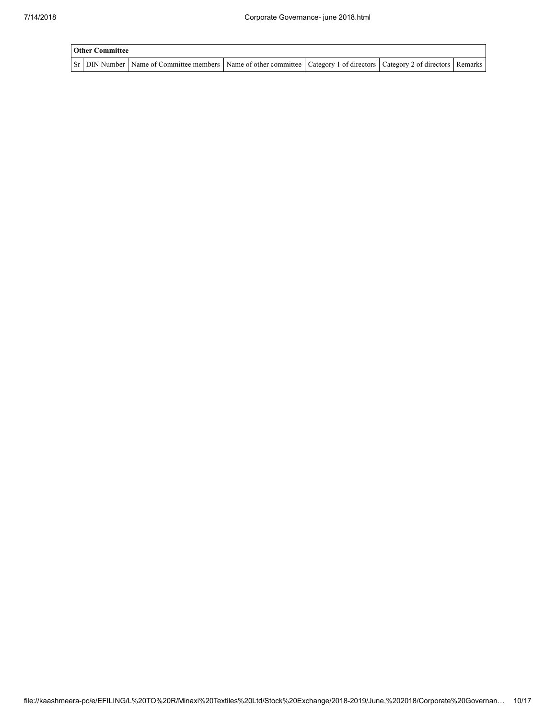| <b>Other Committee</b> |                                                                                                                                     |  |  |
|------------------------|-------------------------------------------------------------------------------------------------------------------------------------|--|--|
|                        | Sr   DIN Number   Name of Committee members   Name of other committee   Category 1 of directors   Category 2 of directors   Remarks |  |  |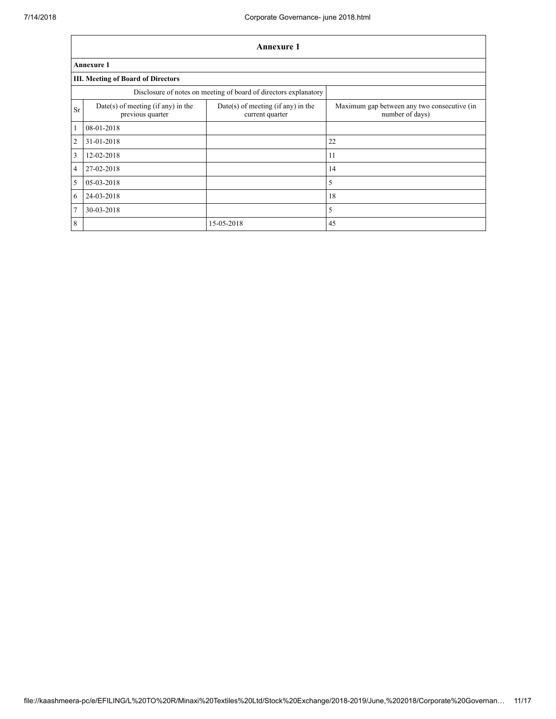|                         |                                                                  | <b>Annexure 1</b>                                       |                                                                |  |  |  |  |  |  |  |
|-------------------------|------------------------------------------------------------------|---------------------------------------------------------|----------------------------------------------------------------|--|--|--|--|--|--|--|
|                         | <b>Annexure 1</b>                                                |                                                         |                                                                |  |  |  |  |  |  |  |
|                         | <b>III. Meeting of Board of Directors</b>                        |                                                         |                                                                |  |  |  |  |  |  |  |
|                         | Disclosure of notes on meeting of board of directors explanatory |                                                         |                                                                |  |  |  |  |  |  |  |
| <b>Sr</b>               | Date(s) of meeting (if any) in the<br>previous quarter           | $Date(s)$ of meeting (if any) in the<br>current quarter | Maximum gap between any two consecutive (in<br>number of days) |  |  |  |  |  |  |  |
| $\vert$ 1               | 08-01-2018                                                       |                                                         |                                                                |  |  |  |  |  |  |  |
| $\overline{2}$          | 31-01-2018                                                       |                                                         | 22                                                             |  |  |  |  |  |  |  |
| $\overline{\mathbf{3}}$ | 12-02-2018                                                       |                                                         | 11                                                             |  |  |  |  |  |  |  |
| $\overline{4}$          | 27-02-2018                                                       |                                                         | 14                                                             |  |  |  |  |  |  |  |
| $\overline{\mathbf{5}}$ | 05-03-2018                                                       |                                                         | 5                                                              |  |  |  |  |  |  |  |
| $\overline{6}$          | 24-03-2018                                                       |                                                         | 18                                                             |  |  |  |  |  |  |  |
| 7                       | 30-03-2018                                                       |                                                         | 5                                                              |  |  |  |  |  |  |  |
| 8                       |                                                                  | 15-05-2018                                              | 45                                                             |  |  |  |  |  |  |  |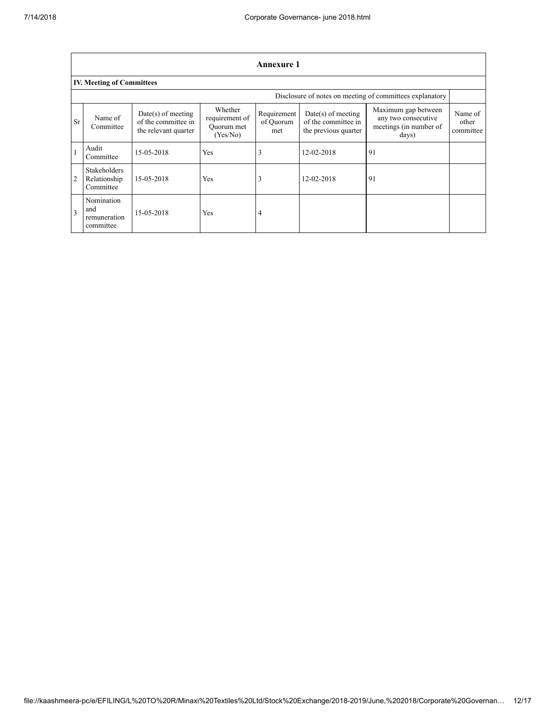|                |                                                  |                                                                     |                                                     | <b>Annexure 1</b>               |                                                                     |                                                                               |                               |  |  |  |
|----------------|--------------------------------------------------|---------------------------------------------------------------------|-----------------------------------------------------|---------------------------------|---------------------------------------------------------------------|-------------------------------------------------------------------------------|-------------------------------|--|--|--|
|                | <b>IV. Meeting of Committees</b>                 |                                                                     |                                                     |                                 |                                                                     |                                                                               |                               |  |  |  |
|                |                                                  |                                                                     |                                                     |                                 |                                                                     | Disclosure of notes on meeting of committees explanatory                      |                               |  |  |  |
| <b>Sr</b>      | Name of<br>Committee                             | $Date(s)$ of meeting<br>of the committee in<br>the relevant quarter | Whether<br>requirement of<br>Ouorum met<br>(Yes/No) | Requirement<br>of Ouorum<br>met | $Date(s)$ of meeting<br>of the committee in<br>the previous quarter | Maximum gap between<br>any two consecutive<br>meetings (in number of<br>days) | Name of<br>other<br>committee |  |  |  |
|                | Audit<br>Committee                               | 15-05-2018                                                          | Yes                                                 | 3                               | 12-02-2018                                                          | 91                                                                            |                               |  |  |  |
| $\overline{2}$ | <b>Stakeholders</b><br>Relationship<br>Committee | 15-05-2018                                                          | Yes                                                 | 3                               | 12-02-2018                                                          | 91                                                                            |                               |  |  |  |
| $\overline{3}$ | Nomination<br>and<br>remuneration<br>committee   | 15-05-2018                                                          | <b>Yes</b>                                          | $\overline{4}$                  |                                                                     |                                                                               |                               |  |  |  |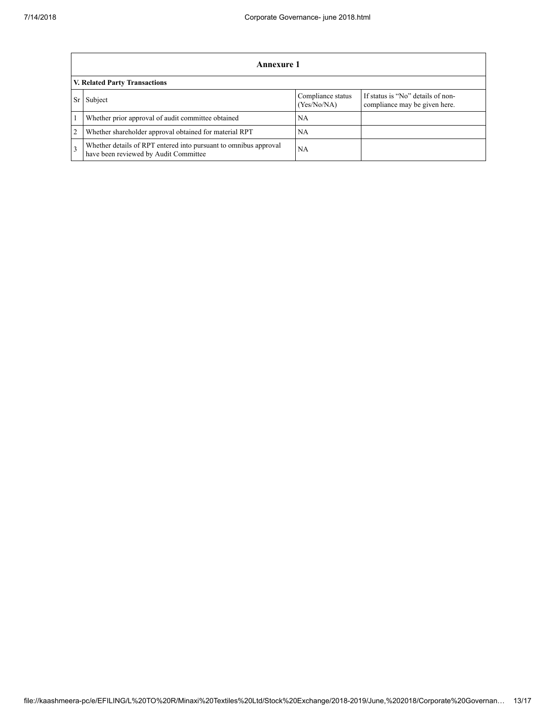ŕ

|                               | Annexure 1                                                                                                |                                  |                                                                    |  |  |  |
|-------------------------------|-----------------------------------------------------------------------------------------------------------|----------------------------------|--------------------------------------------------------------------|--|--|--|
| V. Related Party Transactions |                                                                                                           |                                  |                                                                    |  |  |  |
|                               | Subject                                                                                                   | Compliance status<br>(Yes/No/NA) | If status is "No" details of non-<br>compliance may be given here. |  |  |  |
|                               | Whether prior approval of audit committee obtained                                                        | NA.                              |                                                                    |  |  |  |
| $\overline{2}$                | Whether shareholder approval obtained for material RPT                                                    | NA                               |                                                                    |  |  |  |
| $\mathcal{R}$                 | Whether details of RPT entered into pursuant to omnibus approval<br>have been reviewed by Audit Committee | NA                               |                                                                    |  |  |  |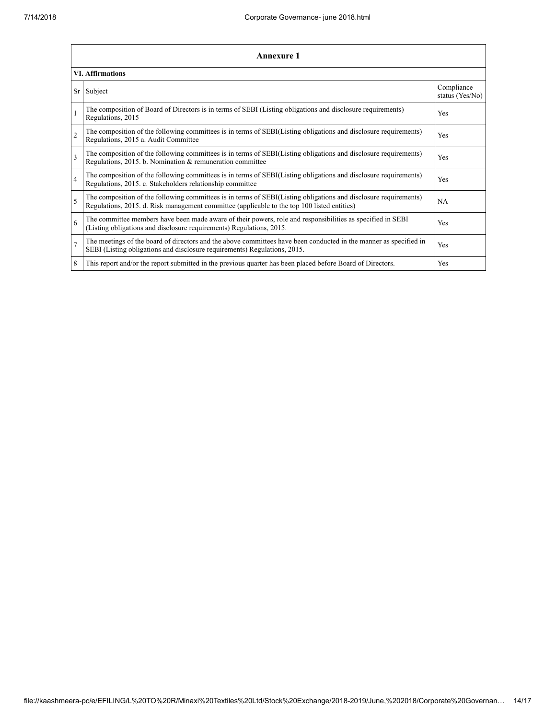| <b>Annexure 1</b>       |                                                                                                                                                                                                                 |                               |  |  |  |
|-------------------------|-----------------------------------------------------------------------------------------------------------------------------------------------------------------------------------------------------------------|-------------------------------|--|--|--|
| <b>VI. Affirmations</b> |                                                                                                                                                                                                                 |                               |  |  |  |
| Sr <sub>1</sub>         | Subject                                                                                                                                                                                                         | Compliance<br>status (Yes/No) |  |  |  |
|                         | The composition of Board of Directors is in terms of SEBI (Listing obligations and disclosure requirements)<br>Regulations, 2015                                                                                | Yes                           |  |  |  |
| $\overline{c}$          | The composition of the following committees is in terms of SEBI(Listing obligations and disclosure requirements)<br>Regulations, 2015 a. Audit Committee                                                        | <b>Yes</b>                    |  |  |  |
| 3                       | The composition of the following committees is in terms of SEBI(Listing obligations and disclosure requirements)<br>Regulations, 2015. b. Nomination & remuneration committee                                   | Yes                           |  |  |  |
| $\overline{4}$          | The composition of the following committees is in terms of SEBI(Listing obligations and disclosure requirements)<br>Regulations, 2015. c. Stakeholders relationship committee                                   | Yes                           |  |  |  |
| $\varsigma$             | The composition of the following committees is in terms of SEBI(Listing obligations and disclosure requirements)<br>Regulations, 2015. d. Risk management committee (applicable to the top 100 listed entities) | <b>NA</b>                     |  |  |  |
| 6                       | The committee members have been made aware of their powers, role and responsibilities as specified in SEBI<br>(Listing obligations and disclosure requirements) Regulations, 2015.                              | <b>Yes</b>                    |  |  |  |
| $\overline{7}$          | The meetings of the board of directors and the above committees have been conducted in the manner as specified in<br>SEBI (Listing obligations and disclosure requirements) Regulations, 2015.                  | Yes                           |  |  |  |
| 8                       | This report and/or the report submitted in the previous quarter has been placed before Board of Directors.                                                                                                      | Yes                           |  |  |  |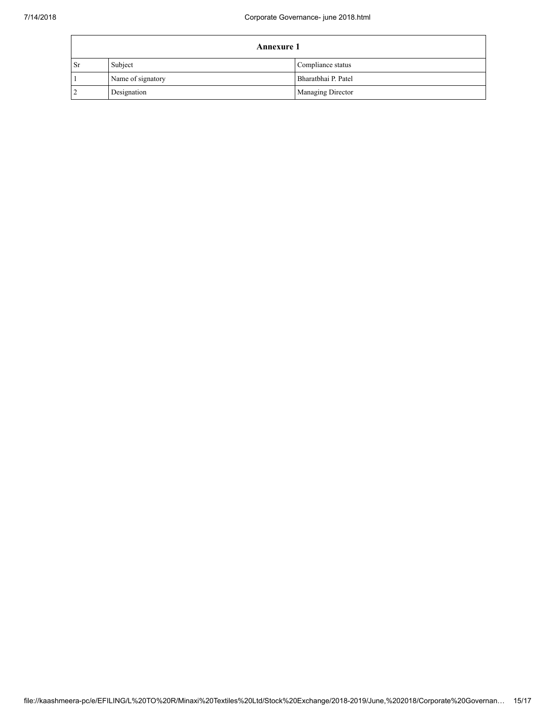|           | <b>Annexure 1</b> |                     |  |
|-----------|-------------------|---------------------|--|
| <b>Sr</b> | Subject           | Compliance status   |  |
|           | Name of signatory | Bharatbhai P. Patel |  |
|           | Designation       | Managing Director   |  |